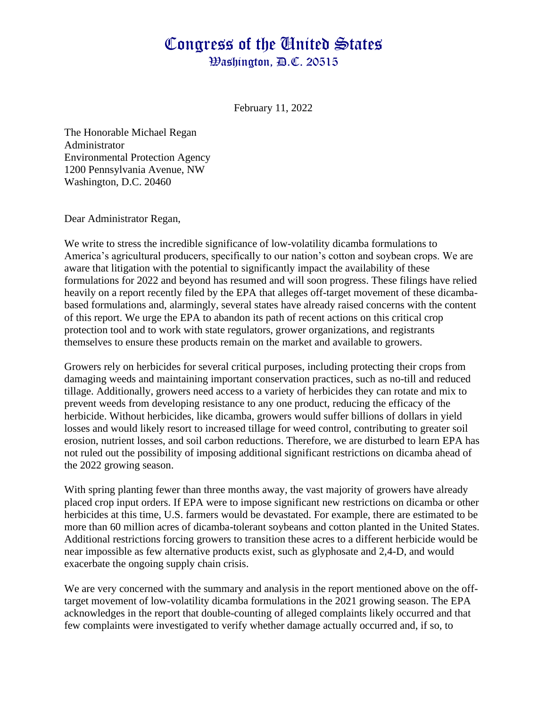## Congress of the Cinited States

Washington, D.C. 20515

February 11, 2022

The Honorable Michael Regan Administrator Environmental Protection Agency 1200 Pennsylvania Avenue, NW Washington, D.C. 20460

Dear Administrator Regan,

We write to stress the incredible significance of low-volatility dicamba formulations to America's agricultural producers, specifically to our nation's cotton and soybean crops. We are aware that litigation with the potential to significantly impact the availability of these formulations for 2022 and beyond has resumed and will soon progress. These filings have relied heavily on a report recently filed by the EPA that alleges off-target movement of these dicambabased formulations and, alarmingly, several states have already raised concerns with the content of this report. We urge the EPA to abandon its path of recent actions on this critical crop protection tool and to work with state regulators, grower organizations, and registrants themselves to ensure these products remain on the market and available to growers.

Growers rely on herbicides for several critical purposes, including protecting their crops from damaging weeds and maintaining important conservation practices, such as no-till and reduced tillage. Additionally, growers need access to a variety of herbicides they can rotate and mix to prevent weeds from developing resistance to any one product, reducing the efficacy of the herbicide. Without herbicides, like dicamba, growers would suffer billions of dollars in yield losses and would likely resort to increased tillage for weed control, contributing to greater soil erosion, nutrient losses, and soil carbon reductions. Therefore, we are disturbed to learn EPA has not ruled out the possibility of imposing additional significant restrictions on dicamba ahead of the 2022 growing season.

With spring planting fewer than three months away, the vast majority of growers have already placed crop input orders. If EPA were to impose significant new restrictions on dicamba or other herbicides at this time, U.S. farmers would be devastated. For example, there are estimated to be more than 60 million acres of dicamba-tolerant soybeans and cotton planted in the United States. Additional restrictions forcing growers to transition these acres to a different herbicide would be near impossible as few alternative products exist, such as glyphosate and 2,4-D, and would exacerbate the ongoing supply chain crisis.

We are very concerned with the summary and analysis in the report mentioned above on the offtarget movement of low-volatility dicamba formulations in the 2021 growing season. The EPA acknowledges in the report that double-counting of alleged complaints likely occurred and that few complaints were investigated to verify whether damage actually occurred and, if so, to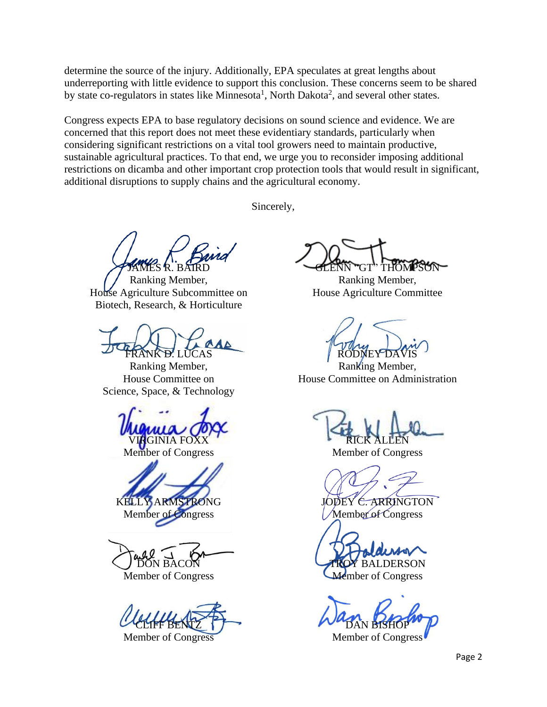determine the source of the injury. Additionally, EPA speculates at great lengths about underreporting with little evidence to support this conclusion. These concerns seem to be shared by state co-regulators in states like Minnesota<sup>1</sup>, North Dakota<sup>2</sup>, and several other states.

Congress expects EPA to base regulatory decisions on sound science and evidence. We are concerned that this report does not meet these evidentiary standards, particularly when considering significant restrictions on a vital tool growers need to maintain productive, sustainable agricultural practices. To that end, we urge you to reconsider imposing additional restrictions on dicamba and other important crop protection tools that would result in significant, additional disruptions to supply chains and the agricultural economy.

Sincerely,

JAMES R. BAIRD

Ranking Member, House Agriculture Subcommittee on Biotech, Research, & Horticulture

ANK <del>D'</del>. LUCAS

Ranking Member, House Committee on Science, Space, & Technology

**GINIA FOX** 

Member of Congress

KELLY ARMSTRONG Member of Congress

DON BACON

Member of Congress

CLIFF BENTZ

Member of Congress

GLENN "GT" THOMPSON

Ranking Member, House Agriculture Committee

RODNEY

Ranking Member, House Committee on Administration

RICK ALLEN

Member of Congress

JODEY C. ARRINGTON

Member of Congress

**BALDERSON** Aember of Congress

DAN BISHOP

Member of Congress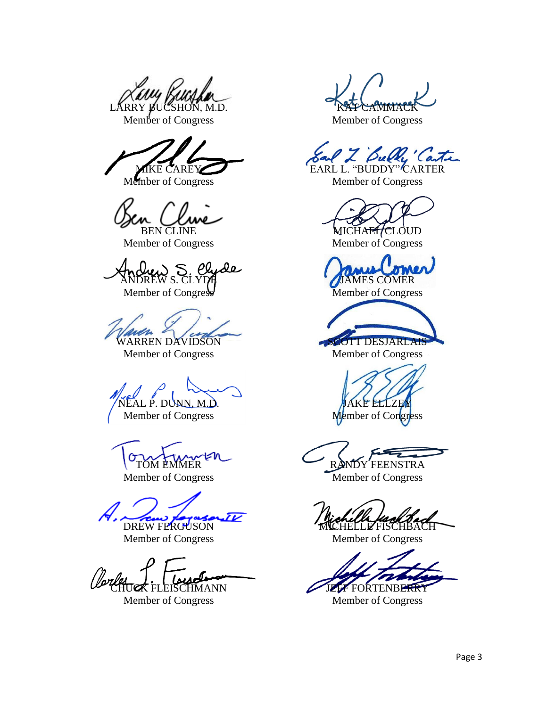LARRY BUCSHON, M.D.

Member of Congress

**E CAREY** 

Member of Congress

BEN CLINE

Member of Congress

ANDREW S. CLYDE

Member of Congress

WARREN DAVIDSON

Member of Congress

EAL P. DUNN, M.D.

Member of Congress

TOM EMMER

Member of Congress

DREW FERGUSON

Member of Congress

EISCHMANN

Member of Congress

**KAT CAMMACK** 

Member of Congress

Bulle Carte

EARL L. "BUDDY" CARTER Member of Congress

MICHA<del>EL/C</del>LOUD

Member of Congress

JAMES COMER Member of Congress

**OTT DESJARLAIS** Member of Congress

KE ELLZEY Member of Congress

DY FEENSTRA

Member of Congress

HELLE FISCHBACH

Member of Congress

FORTENBERRY

Member of Congress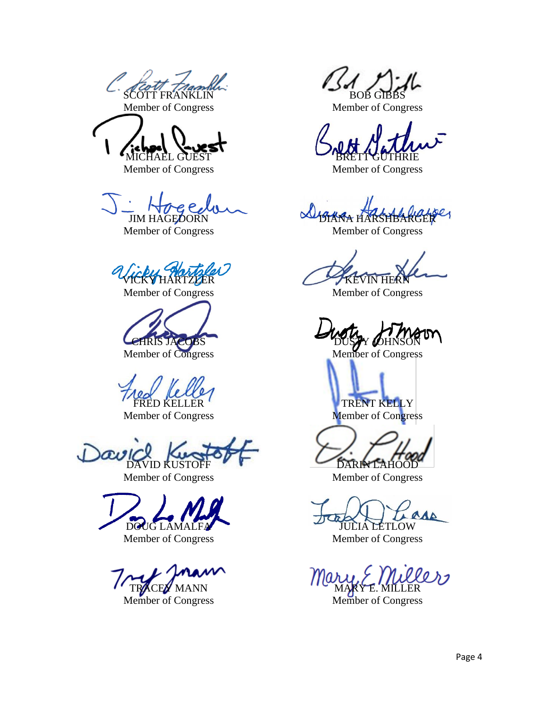*SCOUT TramM* Member of Congress

MICHAEL GUEST

Member of Congress

 $e, P$ 

JIM HAGEDORN Member of Congress

VICKY HARTZLER

Member of Congress

COBS

Member of Congress

FRED KELLER

Member of Congress

 $\alpha$ DAVID KUSTOFF

Member of Congress

DOUG LAMALFA

Member of Congress

m TRACEY MANN Member of Congress

**BOB GIB** 

Member of Congress

**BRETT GUTHRIE** 

Member of Congress

DIANA HARSHBARGER

Member of Congress

**KEVIN HE** 

Member of Congress

DUSTY *(O*HNSON

Member of Congress

TRENT KELLY Member of Congress

DARIN LAHOOD

Member of Congress

**AAA** JULIA LETLOW

Member of Congress

<u>рро пл</u> Mary E Mill<br>MARY E. MILLER

Member of Congress